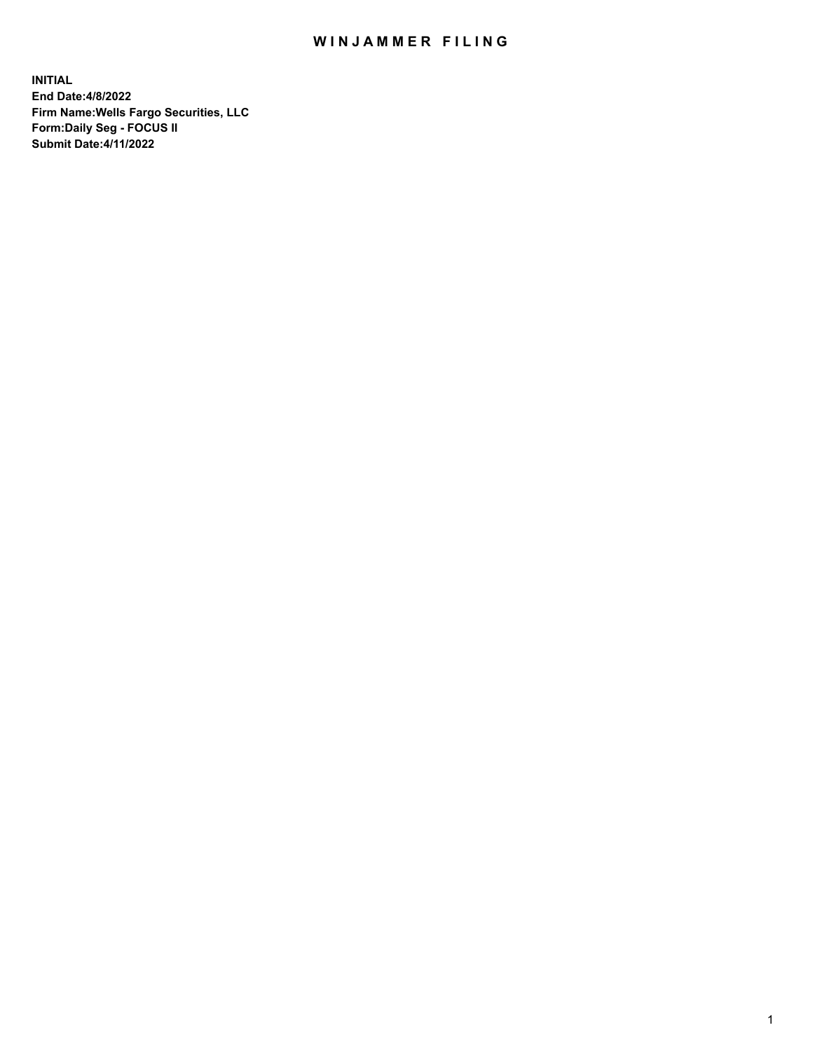## WIN JAMMER FILING

**INITIAL End Date:4/8/2022 Firm Name:Wells Fargo Securities, LLC Form:Daily Seg - FOCUS II Submit Date:4/11/2022**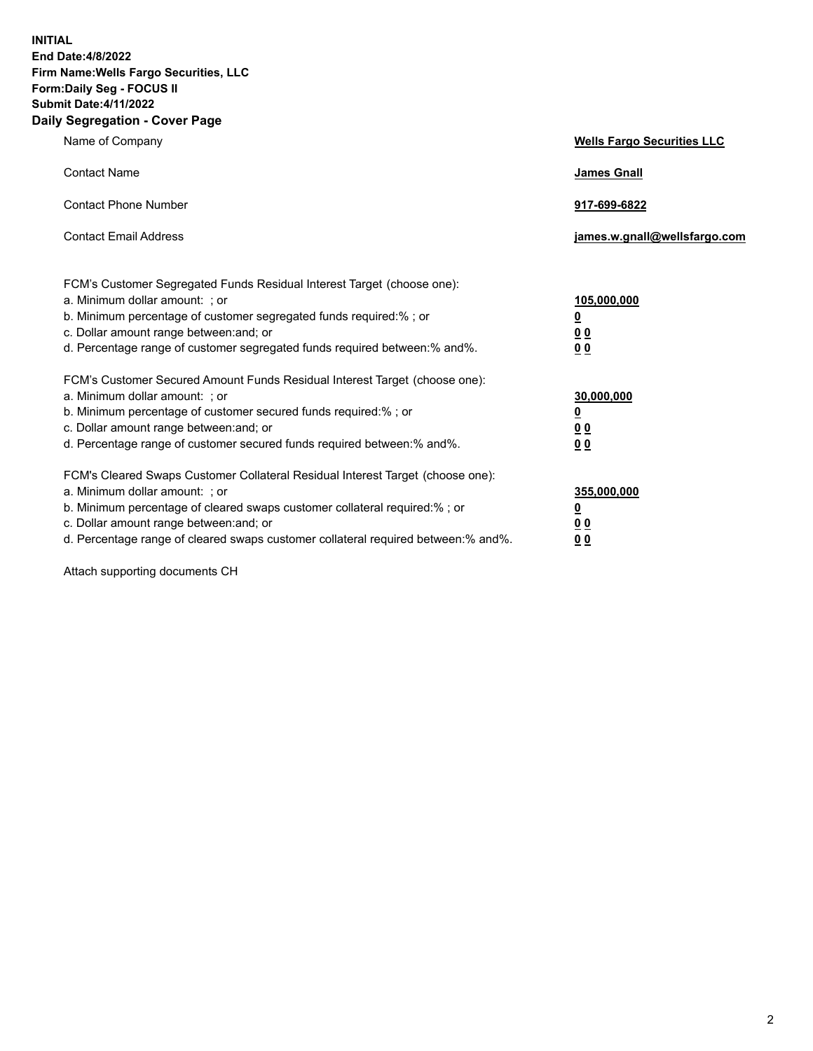**INITIAL End Date:4/8/2022 Firm Name:Wells Fargo Securities, LLC Form:Daily Seg - FOCUS II Submit Date:4/11/2022 Daily Segregation - Cover Page**

| Name of Company                                                                                                                                                                                                                                                                                                                | <b>Wells Fargo Securities LLC</b>                          |
|--------------------------------------------------------------------------------------------------------------------------------------------------------------------------------------------------------------------------------------------------------------------------------------------------------------------------------|------------------------------------------------------------|
| <b>Contact Name</b>                                                                                                                                                                                                                                                                                                            | <b>James Gnall</b>                                         |
| <b>Contact Phone Number</b>                                                                                                                                                                                                                                                                                                    | 917-699-6822                                               |
| <b>Contact Email Address</b>                                                                                                                                                                                                                                                                                                   | james.w.gnall@wellsfargo.com                               |
| FCM's Customer Segregated Funds Residual Interest Target (choose one):<br>a. Minimum dollar amount: ; or<br>b. Minimum percentage of customer segregated funds required:% ; or<br>c. Dollar amount range between: and; or<br>d. Percentage range of customer segregated funds required between:% and%.                         | 105,000,000<br><u>0</u><br>0 <sub>0</sub><br>00            |
| FCM's Customer Secured Amount Funds Residual Interest Target (choose one):<br>a. Minimum dollar amount: ; or<br>b. Minimum percentage of customer secured funds required:%; or<br>c. Dollar amount range between: and; or<br>d. Percentage range of customer secured funds required between:% and%.                            | 30,000,000<br><u>0</u><br>0 <sub>0</sub><br>0 <sub>0</sub> |
| FCM's Cleared Swaps Customer Collateral Residual Interest Target (choose one):<br>a. Minimum dollar amount: ; or<br>b. Minimum percentage of cleared swaps customer collateral required:% ; or<br>c. Dollar amount range between: and; or<br>d. Percentage range of cleared swaps customer collateral required between:% and%. | 355,000,000<br><u>0</u><br>00<br>00                        |

Attach supporting documents CH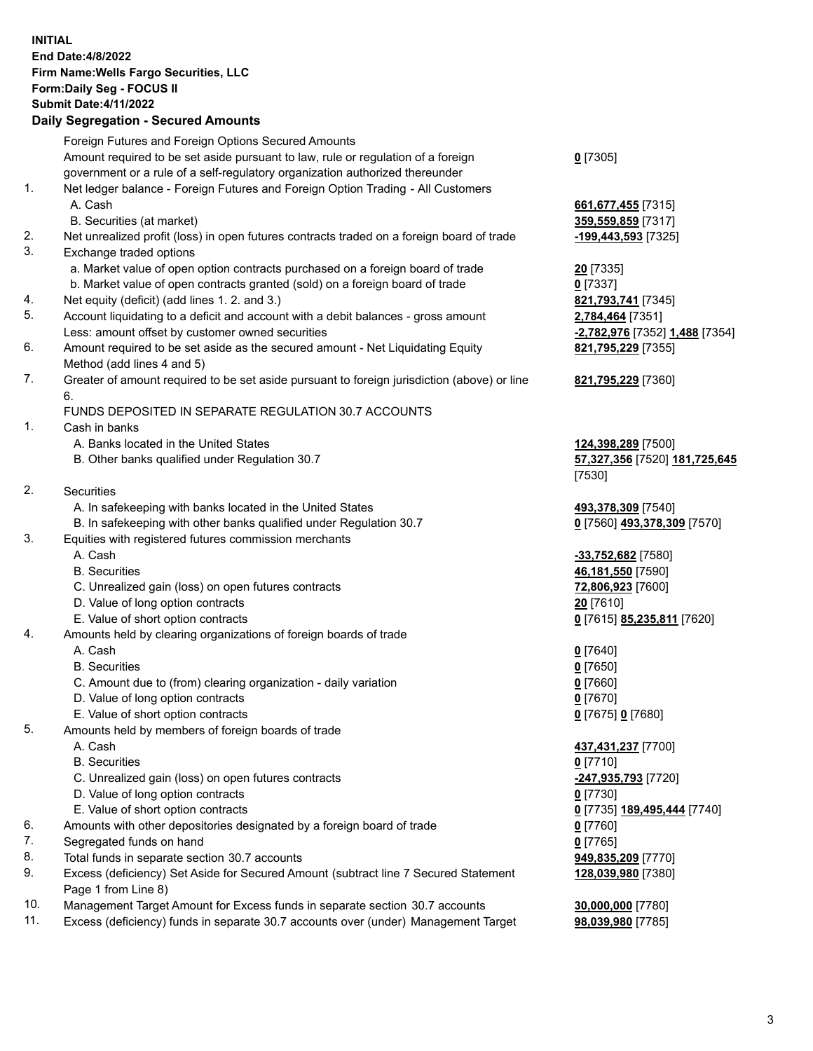**INITIAL End Date:4/8/2022 Firm Name:Wells Fargo Securities, LLC Form:Daily Seg - FOCUS II Submit Date:4/11/2022 Daily Segregation - Secured Amounts**

## Foreign Futures and Foreign Options Secured Amounts Amount required to be set aside pursuant to law, rule or regulation of a foreign government or a rule of a self-regulatory organization authorized thereunder **0** [7305] 1. Net ledger balance - Foreign Futures and Foreign Option Trading - All Customers A. Cash **661,677,455** [7315] B. Securities (at market) **359,559,859** [7317] 2. Net unrealized profit (loss) in open futures contracts traded on a foreign board of trade **-199,443,593** [7325] 3. Exchange traded options a. Market value of open option contracts purchased on a foreign board of trade **20** [7335] b. Market value of open contracts granted (sold) on a foreign board of trade **0** [7337] 4. Net equity (deficit) (add lines 1. 2. and 3.) **821,793,741** [7345] 5. Account liquidating to a deficit and account with a debit balances - gross amount **2,784,464** [7351] Less: amount offset by customer owned securities **-2,782,976** [7352] **1,488** [7354] 6. Amount required to be set aside as the secured amount - Net Liquidating Equity Method (add lines 4 and 5) 7. Greater of amount required to be set aside pursuant to foreign jurisdiction (above) or line 6. FUNDS DEPOSITED IN SEPARATE REGULATION 30.7 ACCOUNTS 1. Cash in banks A. Banks located in the United States **124,398,289** [7500] B. Other banks qualified under Regulation 30.7 **57,327,356** [7520] **181,725,645** [7530] 2. Securities A. In safekeeping with banks located in the United States **493,378,309** [7540] B. In safekeeping with other banks qualified under Regulation 30.7 **0** [7560] **493,378,309** [7570] 3. Equities with registered futures commission merchants A. Cash **-33,752,682** [7580] B. Securities **46,181,550** [7590] C. Unrealized gain (loss) on open futures contracts **72,806,923** [7600] D. Value of long option contracts **20** [7610] E. Value of short option contracts **0** [7615] **85,235,811** [7620] 4. Amounts held by clearing organizations of foreign boards of trade A. Cash **0** [7640] B. Securities **0** [7650] C. Amount due to (from) clearing organization - daily variation **0** [7660]

- D. Value of long option contracts **0** [7670]
- E. Value of short option contracts **0** [7675] **0** [7680]
- 5. Amounts held by members of foreign boards of trade
	-
	- B. Securities **0** [7710]
	- C. Unrealized gain (loss) on open futures contracts **-247,935,793** [7720]
	- D. Value of long option contracts **0** [7730]
	- E. Value of short option contracts **0** [7735] **189,495,444** [7740]
- 6. Amounts with other depositories designated by a foreign board of trade **0** [7760]
- 7. Segregated funds on hand **0** [7765]
- 8. Total funds in separate section 30.7 accounts **949,835,209** [7770]
- 9. Excess (deficiency) Set Aside for Secured Amount (subtract line 7 Secured Statement Page 1 from Line 8)
- 10. Management Target Amount for Excess funds in separate section 30.7 accounts **30,000,000** [7780]
- 11. Excess (deficiency) funds in separate 30.7 accounts over (under) Management Target **98,039,980** [7785]

**821,795,229** [7355]

## **821,795,229** [7360]

 A. Cash **437,431,237** [7700] **128,039,980** [7380]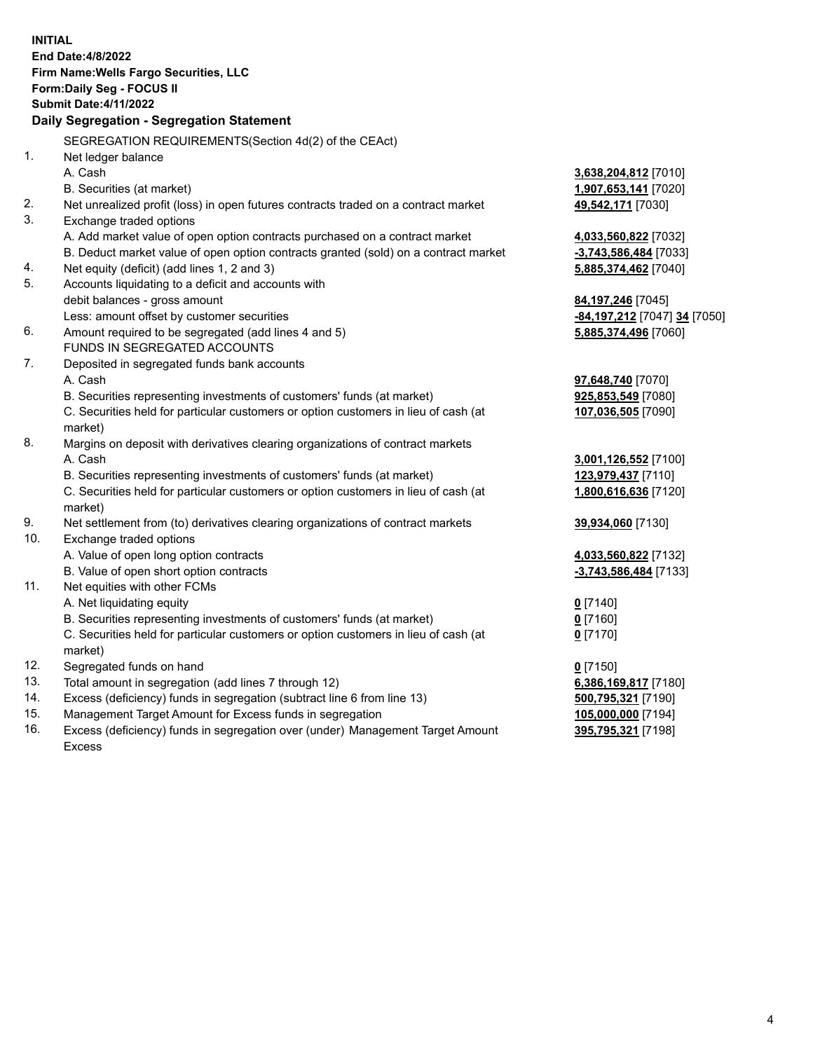**INITIAL End Date:4/8/2022 Firm Name:Wells Fargo Securities, LLC Form:Daily Seg - FOCUS II Submit Date:4/11/2022 Daily Segregation - Segregation Statement** SEGREGATION REQUIREMENTS(Section 4d(2) of the CEAct) 1. Net ledger balance A. Cash **3,638,204,812** [7010] B. Securities (at market) **1,907,653,141** [7020] 2. Net unrealized profit (loss) in open futures contracts traded on a contract market **49,542,171** [7030] 3. Exchange traded options A. Add market value of open option contracts purchased on a contract market **4,033,560,822** [7032] B. Deduct market value of open option contracts granted (sold) on a contract market **-3,743,586,484** [7033] 4. Net equity (deficit) (add lines 1, 2 and 3) **5,885,374,462** [7040] 5. Accounts liquidating to a deficit and accounts with debit balances - gross amount **84,197,246** [7045] Less: amount offset by customer securities **-84,197,212** [7047] **34** [7050] 6. Amount required to be segregated (add lines 4 and 5) **5,885,374,496** [7060] FUNDS IN SEGREGATED ACCOUNTS 7. Deposited in segregated funds bank accounts A. Cash **97,648,740** [7070] B. Securities representing investments of customers' funds (at market) **925,853,549** [7080] C. Securities held for particular customers or option customers in lieu of cash (at market) **107,036,505** [7090] 8. Margins on deposit with derivatives clearing organizations of contract markets A. Cash **3,001,126,552** [7100] B. Securities representing investments of customers' funds (at market) **123,979,437** [7110] C. Securities held for particular customers or option customers in lieu of cash (at market) **1,800,616,636** [7120] 9. Net settlement from (to) derivatives clearing organizations of contract markets **39,934,060** [7130] 10. Exchange traded options A. Value of open long option contracts **4,033,560,822** [7132] B. Value of open short option contracts **-3,743,586,484** [7133] 11. Net equities with other FCMs A. Net liquidating equity **0** [7140] B. Securities representing investments of customers' funds (at market) **0** [7160] C. Securities held for particular customers or option customers in lieu of cash (at market) **0** [7170] 12. Segregated funds on hand **0** [7150] 13. Total amount in segregation (add lines 7 through 12) **6,386,169,817** [7180] 14. Excess (deficiency) funds in segregation (subtract line 6 from line 13) **500,795,321** [7190] 15. Management Target Amount for Excess funds in segregation **105,000,000** [7194] 16. Excess (deficiency) funds in segregation over (under) Management Target Amount Excess **395,795,321** [7198]